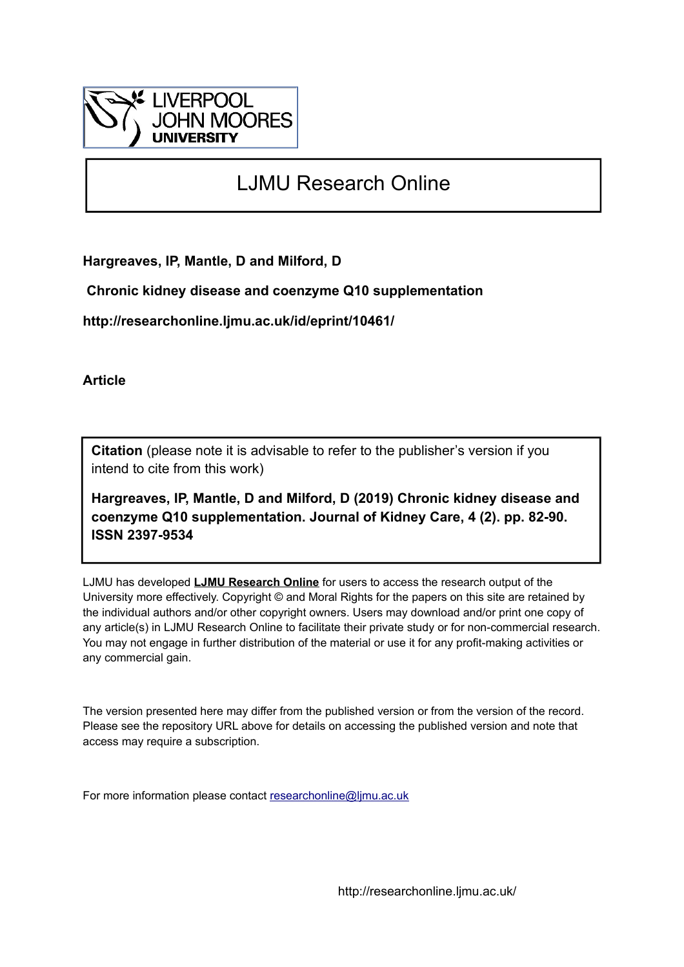

# LJMU Research Online

**Hargreaves, IP, Mantle, D and Milford, D**

 **Chronic kidney disease and coenzyme Q10 supplementation**

**http://researchonline.ljmu.ac.uk/id/eprint/10461/**

**Article**

**Citation** (please note it is advisable to refer to the publisher's version if you intend to cite from this work)

**Hargreaves, IP, Mantle, D and Milford, D (2019) Chronic kidney disease and coenzyme Q10 supplementation. Journal of Kidney Care, 4 (2). pp. 82-90. ISSN 2397-9534** 

LJMU has developed **[LJMU Research Online](http://researchonline.ljmu.ac.uk/)** for users to access the research output of the University more effectively. Copyright © and Moral Rights for the papers on this site are retained by the individual authors and/or other copyright owners. Users may download and/or print one copy of any article(s) in LJMU Research Online to facilitate their private study or for non-commercial research. You may not engage in further distribution of the material or use it for any profit-making activities or any commercial gain.

The version presented here may differ from the published version or from the version of the record. Please see the repository URL above for details on accessing the published version and note that access may require a subscription.

For more information please contact [researchonline@ljmu.ac.uk](mailto:researchonline@ljmu.ac.uk)

http://researchonline.ljmu.ac.uk/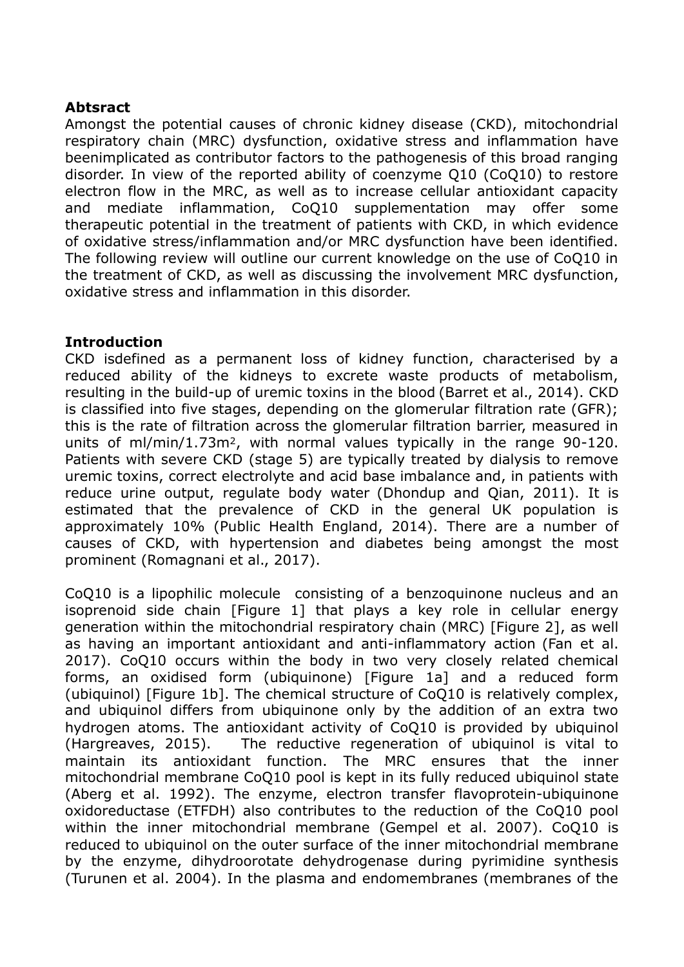## **Abtsract**

Amongst the potential causes of chronic kidney disease (CKD), mitochondrial respiratory chain (MRC) dysfunction, oxidative stress and inflammation have beenimplicated as contributor factors to the pathogenesis of this broad ranging disorder. In view of the reported ability of coenzyme Q10 (CoQ10) to restore electron flow in the MRC, as well as to increase cellular antioxidant capacity and mediate inflammation, CoQ10 supplementation may offer some therapeutic potential in the treatment of patients with CKD, in which evidence of oxidative stress/inflammation and/or MRC dysfunction have been identified. The following review will outline our current knowledge on the use of CoQ10 in the treatment of CKD, as well as discussing the involvement MRC dysfunction, oxidative stress and inflammation in this disorder.

# **Introduction**

CKD isdefined as a permanent loss of kidney function, characterised by a reduced ability of the kidneys to excrete waste products of metabolism, resulting in the build-up of uremic toxins in the blood (Barret et al., 2014). CKD is classified into five stages, depending on the glomerular filtration rate (GFR); this is the rate of filtration across the glomerular filtration barrier, measured in units of ml/min/1.73m2, with normal values typically in the range 90-120. Patients with severe CKD (stage 5) are typically treated by dialysis to remove uremic toxins, correct electrolyte and acid base imbalance and, in patients with reduce urine output, regulate body water (Dhondup and Qian, 2011). It is estimated that the prevalence of CKD in the general UK population is approximately 10% (Public Health England, 2014). There are a number of causes of CKD, with hypertension and diabetes being amongst the most prominent (Romagnani et al., 2017).

CoQ10 is a lipophilic molecule consisting of a benzoquinone nucleus and an isoprenoid side chain [Figure 1] that plays a key role in cellular energy generation within the mitochondrial respiratory chain (MRC) [Figure 2], as well as having an important antioxidant and anti-inflammatory action (Fan et al. 2017). CoQ10 occurs within the body in two very closely related chemical forms, an oxidised form (ubiquinone) [Figure 1a] and a reduced form (ubiquinol) [Figure 1b]. The chemical structure of CoQ10 is relatively complex, and ubiquinol differs from ubiquinone only by the addition of an extra two hydrogen atoms. The antioxidant activity of CoQ10 is provided by ubiquinol (Hargreaves, 2015). The reductive regeneration of ubiquinol is vital to maintain its antioxidant function. The MRC ensures that the inner mitochondrial membrane CoQ10 pool is kept in its fully reduced ubiquinol state (Aberg et al. 1992). The enzyme, electron transfer flavoprotein-ubiquinone oxidoreductase (ETFDH) also contributes to the reduction of the CoQ10 pool within the inner mitochondrial membrane (Gempel et al. 2007). CoQ10 is reduced to ubiquinol on the outer surface of the inner mitochondrial membrane by the enzyme, dihydroorotate dehydrogenase during pyrimidine synthesis (Turunen et al. 2004). In the plasma and endomembranes (membranes of the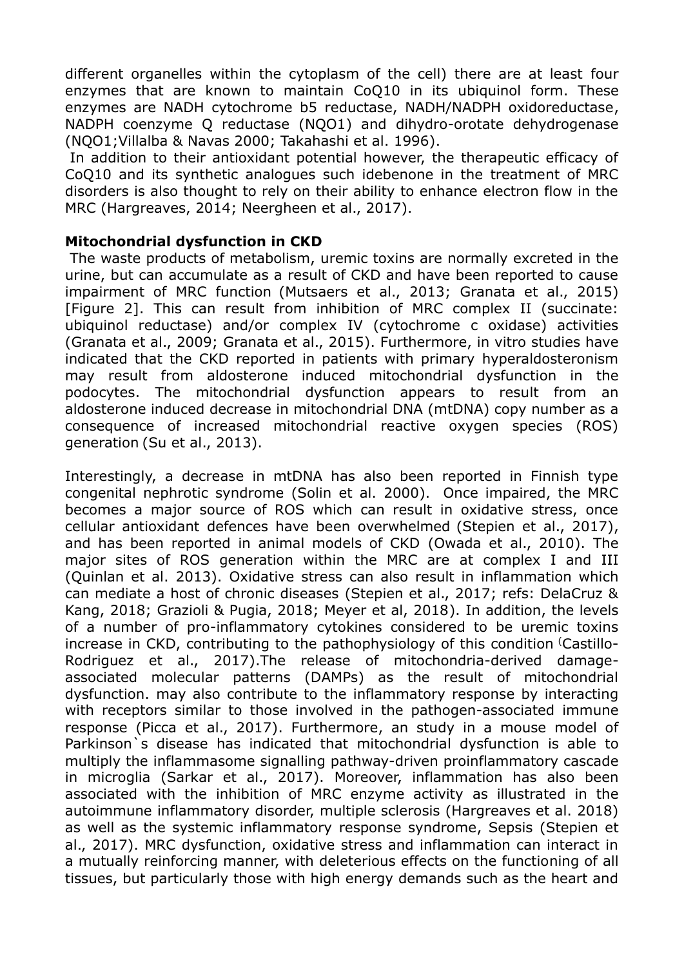different organelles within the cytoplasm of the cell) there are at least four enzymes that are known to maintain CoQ10 in its ubiquinol form. These enzymes are NADH cytochrome b5 reductase, NADH/NADPH oxidoreductase, NADPH coenzyme Q reductase (NQO1) and dihydro-orotate dehydrogenase (NQO1;Villalba & Navas 2000; Takahashi et al. 1996).

In addition to their antioxidant potential however, the therapeutic efficacy of CoQ10 and its synthetic analogues such idebenone in the treatment of MRC disorders is also thought to rely on their ability to enhance electron flow in the MRC (Hargreaves, 2014; Neergheen et al., 2017).

# **Mitochondrial dysfunction in CKD**

The waste products of metabolism, uremic toxins are normally excreted in the urine, but can accumulate as a result of CKD and have been reported to cause impairment of MRC function (Mutsaers et al., 2013; Granata et al., 2015) [Figure 2]. This can result from inhibition of MRC complex II (succinate: ubiquinol reductase) and/or complex IV (cytochrome c oxidase) activities (Granata et al., 2009; Granata et al., 2015). Furthermore, in vitro studies have indicated that the CKD reported in patients with primary hyperaldosteronism may result from aldosterone induced mitochondrial dysfunction in the podocytes. The mitochondrial dysfunction appears to result from an aldosterone induced decrease in mitochondrial DNA (mtDNA) copy number as a consequence of increased mitochondrial reactive oxygen species (ROS) generation (Su et al., 2013).

Interestingly, a decrease in mtDNA has also been reported in Finnish type congenital nephrotic syndrome (Solin et al. 2000). Once impaired, the MRC becomes a major source of ROS which can result in oxidative stress, once cellular antioxidant defences have been overwhelmed (Stepien et al., 2017), and has been reported in animal models of CKD (Owada et al., 2010). The major sites of ROS generation within the MRC are at complex I and III (Quinlan et al. 2013). Oxidative stress can also result in inflammation which can mediate a host of chronic diseases (Stepien et al., 2017; refs: DelaCruz & Kang, 2018; Grazioli & Pugia, 2018; Meyer et al, 2018). In addition, the levels of a number of pro-inflammatory cytokines considered to be uremic toxins increase in CKD, contributing to the pathophysiology of this condition (Castillo-Rodriguez et al., 2017).The release of mitochondria-derived damageassociated molecular patterns (DAMPs) as the result of mitochondrial dysfunction. may also contribute to the inflammatory response by interacting with receptors similar to those involved in the pathogen-associated immune response (Picca et al., 2017). Furthermore, an study in a mouse model of Parkinson`s disease has indicated that mitochondrial dysfunction is able to multiply the inflammasome signalling pathway-driven proinflammatory cascade in microglia (Sarkar et al., 2017). Moreover, inflammation has also been associated with the inhibition of MRC enzyme activity as illustrated in the autoimmune inflammatory disorder, multiple sclerosis (Hargreaves et al. 2018) as well as the systemic inflammatory response syndrome, Sepsis (Stepien et al., 2017). MRC dysfunction, oxidative stress and inflammation can interact in a mutually reinforcing manner, with deleterious effects on the functioning of all tissues, but particularly those with high energy demands such as the heart and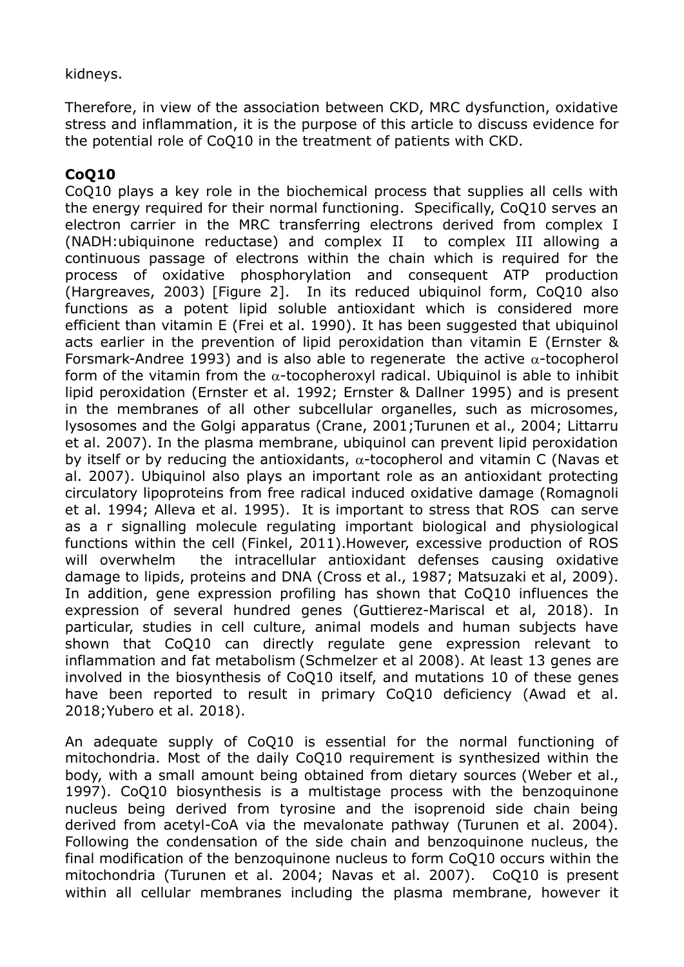# kidneys.

Therefore, in view of the association between CKD, MRC dysfunction, oxidative stress and inflammation, it is the purpose of this article to discuss evidence for the potential role of CoQ10 in the treatment of patients with CKD.

# **CoQ10**

CoQ10 plays a key role in the biochemical process that supplies all cells with the energy required for their normal functioning. Specifically, CoQ10 serves an electron carrier in the MRC transferring electrons derived from complex I (NADH:ubiquinone reductase) and complex II to complex III allowing a continuous passage of electrons within the chain which is required for the process of oxidative phosphorylation and consequent ATP production (Hargreaves, 2003) [Figure 2]. In its reduced ubiquinol form, CoQ10 also functions as a potent lipid soluble antioxidant which is considered more efficient than vitamin E (Frei et al. 1990). It has been suggested that ubiquinol acts earlier in the prevention of lipid peroxidation than vitamin E (Ernster & Forsmark-Andree 1993) and is also able to regenerate the active  $\alpha$ -tocopherol form of the vitamin from the  $\alpha$ -tocopheroxyl radical. Ubiquinol is able to inhibit lipid peroxidation (Ernster et al. 1992; Ernster & Dallner 1995) and is present in the membranes of all other subcellular organelles, such as microsomes, lysosomes and the Golgi apparatus (Crane, 2001;Turunen et al., 2004; Littarru et al. 2007). In the plasma membrane, ubiquinol can prevent lipid peroxidation by itself or by reducing the antioxidants,  $\alpha$ -tocopherol and vitamin C (Navas et al. 2007). Ubiquinol also plays an important role as an antioxidant protecting circulatory lipoproteins from free radical induced oxidative damage (Romagnoli et al. 1994; Alleva et al. 1995). It is important to stress that ROS can serve as a r signalling molecule regulating important biological and physiological functions within the cell (Finkel, 2011).However, excessive production of ROS will overwhelm the intracellular antioxidant defenses causing oxidative damage to lipids, proteins and DNA (Cross et al., 1987; Matsuzaki et al, 2009). In addition, gene expression profiling has shown that CoQ10 influences the expression of several hundred genes (Guttierez-Mariscal et al, 2018). In particular, studies in cell culture, animal models and human subjects have shown that CoQ10 can directly regulate gene expression relevant to inflammation and fat metabolism (Schmelzer et al 2008). At least 13 genes are involved in the biosynthesis of CoQ10 itself, and mutations 10 of these genes have been reported to result in primary CoQ10 deficiency (Awad et al. 2018;Yubero et al. 2018).

An adequate supply of CoQ10 is essential for the normal functioning of mitochondria. Most of the daily CoQ10 requirement is synthesized within the body, with a small amount being obtained from dietary sources (Weber et al., 1997). CoQ10 biosynthesis is a multistage process with the benzoquinone nucleus being derived from tyrosine and the isoprenoid side chain being derived from acetyl-CoA via the mevalonate pathway (Turunen et al. 2004). Following the condensation of the side chain and benzoquinone nucleus, the final modification of the benzoquinone nucleus to form CoQ10 occurs within the mitochondria (Turunen et al. 2004; Navas et al. 2007). CoQ10 is present within all cellular membranes including the plasma membrane, however it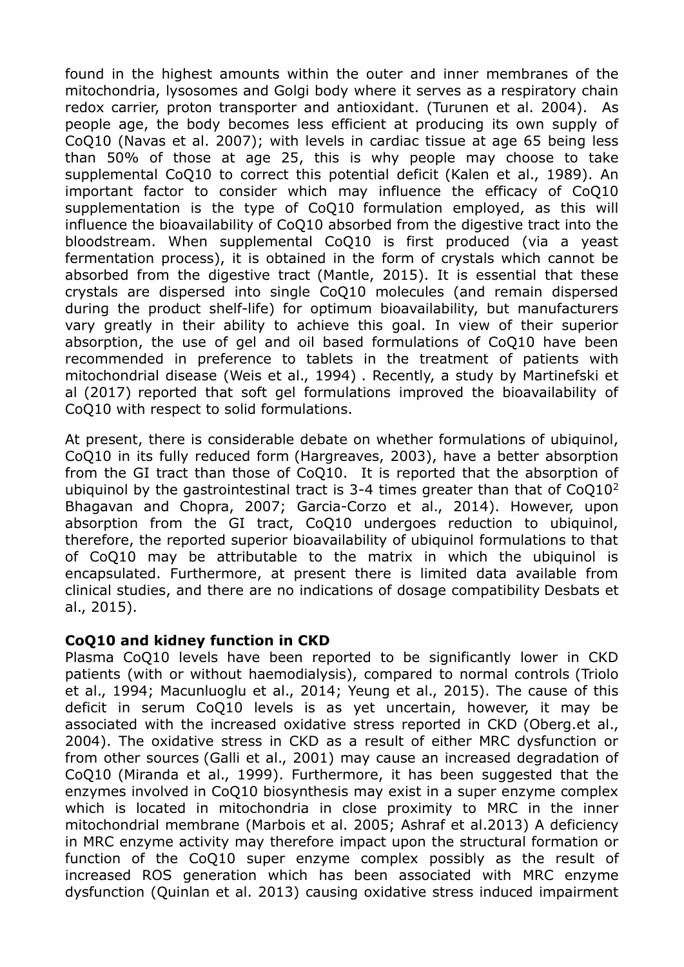found in the highest amounts within the outer and inner membranes of the mitochondria, lysosomes and Golgi body where it serves as a respiratory chain redox carrier, proton transporter and antioxidant. (Turunen et al. 2004). As people age, the body becomes less efficient at producing its own supply of CoQ10 (Navas et al. 2007); with levels in cardiac tissue at age 65 being less than 50% of those at age 25, this is why people may choose to take supplemental CoQ10 to correct this potential deficit (Kalen et al., 1989). An important factor to consider which may influence the efficacy of CoQ10 supplementation is the type of CoQ10 formulation employed, as this will influence the bioavailability of CoQ10 absorbed from the digestive tract into the bloodstream. When supplemental CoQ10 is first produced (via a yeast fermentation process), it is obtained in the form of crystals which cannot be absorbed from the digestive tract (Mantle, 2015). It is essential that these crystals are dispersed into single CoQ10 molecules (and remain dispersed during the product shelf-life) for optimum bioavailability, but manufacturers vary greatly in their ability to achieve this goal. In view of their superior absorption, the use of gel and oil based formulations of CoQ10 have been recommended in preference to tablets in the treatment of patients with mitochondrial disease (Weis et al., 1994) . Recently, a study by Martinefski et al (2017) reported that soft gel formulations improved the bioavailability of CoQ10 with respect to solid formulations.

At present, there is considerable debate on whether formulations of ubiquinol, CoQ10 in its fully reduced form (Hargreaves, 2003), have a better absorption from the GI tract than those of CoQ10. It is reported that the absorption of ubiquinol by the gastrointestinal tract is 3-4 times greater than that of  $CoQ10<sup>2</sup>$ Bhagavan and Chopra, 2007; Garcia-Corzo et al., 2014). However, upon absorption from the GI tract, CoQ10 undergoes reduction to ubiquinol, therefore, the reported superior bioavailability of ubiquinol formulations to that of CoQ10 may be attributable to the matrix in which the ubiquinol is encapsulated. Furthermore, at present there is limited data available from clinical studies, and there are no indications of dosage compatibility Desbats et al., 2015).

#### **CoQ10 and kidney function in CKD**

Plasma CoQ10 levels have been reported to be significantly lower in CKD patients (with or without haemodialysis), compared to normal controls (Triolo et al., 1994; Macunluoglu et al., 2014; Yeung et al., 2015). The cause of this deficit in serum CoQ10 levels is as yet uncertain, however, it may be associated with the increased oxidative stress reported in CKD (Oberg.et al., 2004). The oxidative stress in CKD as a result of either MRC dysfunction or from other sources (Galli et al., 2001) may cause an increased degradation of CoQ10 (Miranda et al., 1999). Furthermore, it has been suggested that the enzymes involved in CoQ10 biosynthesis may exist in a super enzyme complex which is located in mitochondria in close proximity to MRC in the inner mitochondrial membrane (Marbois et al. 2005; Ashraf et al.2013) A deficiency in MRC enzyme activity may therefore impact upon the structural formation or function of the CoQ10 super enzyme complex possibly as the result of increased ROS generation which has been associated with MRC enzyme dysfunction (Quinlan et al. 2013) causing oxidative stress induced impairment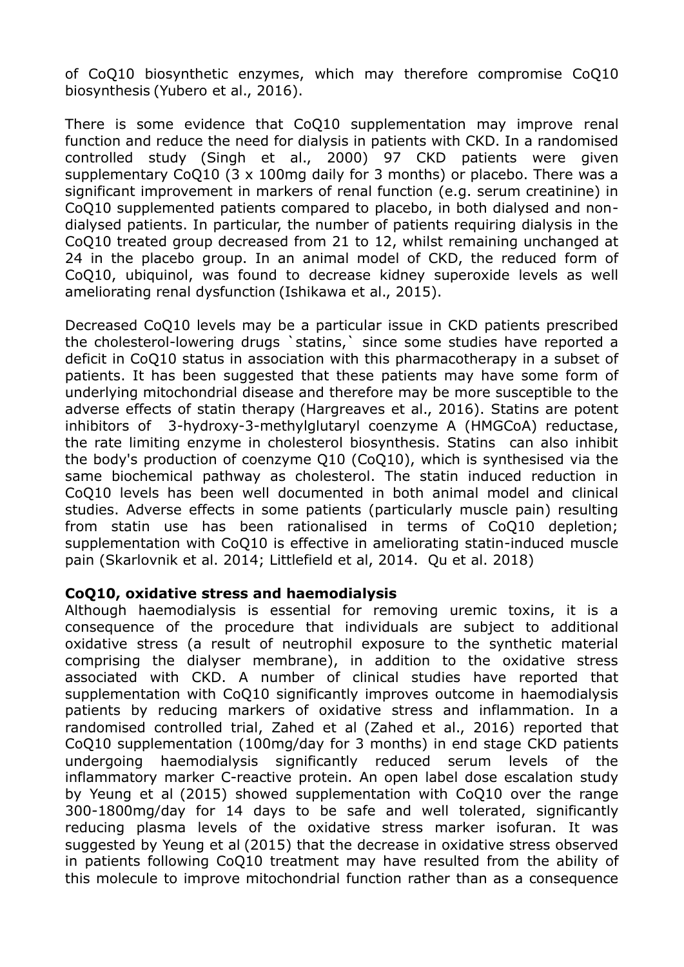of CoQ10 biosynthetic enzymes, which may therefore compromise CoQ10 biosynthesis (Yubero et al., 2016).

There is some evidence that CoQ10 supplementation may improve renal function and reduce the need for dialysis in patients with CKD. In a randomised controlled study (Singh et al., 2000) 97 CKD patients were given supplementary CoQ10 (3 x 100mg daily for 3 months) or placebo. There was a significant improvement in markers of renal function (e.g. serum creatinine) in CoQ10 supplemented patients compared to placebo, in both dialysed and nondialysed patients. In particular, the number of patients requiring dialysis in the CoQ10 treated group decreased from 21 to 12, whilst remaining unchanged at 24 in the placebo group. In an animal model of CKD, the reduced form of CoQ10, ubiquinol, was found to decrease kidney superoxide levels as well ameliorating renal dysfunction (Ishikawa et al., 2015).

Decreased CoQ10 levels may be a particular issue in CKD patients prescribed the cholesterol-lowering drugs `statins,` since some studies have reported a deficit in CoQ10 status in association with this pharmacotherapy in a subset of patients. It has been suggested that these patients may have some form of underlying mitochondrial disease and therefore may be more susceptible to the adverse effects of statin therapy (Hargreaves et al., 2016). Statins are potent inhibitors of 3-hydroxy-3-methylglutaryl coenzyme A (HMGCoA) reductase, the rate limiting enzyme in cholesterol biosynthesis. Statins can also inhibit the body's production of coenzyme Q10 (CoQ10), which is synthesised via the same biochemical pathway as cholesterol. The statin induced reduction in CoQ10 levels has been well documented in both animal model and clinical studies. Adverse effects in some patients (particularly muscle pain) resulting from statin use has been rationalised in terms of CoQ10 depletion; supplementation with CoQ10 is effective in ameliorating statin-induced muscle pain (Skarlovnik et al. 2014; Littlefield et al, 2014. Qu et al. 2018)

#### **CoQ10, oxidative stress and haemodialysis**

Although haemodialysis is essential for removing uremic toxins, it is a consequence of the procedure that individuals are subject to additional oxidative stress (a result of neutrophil exposure to the synthetic material comprising the dialyser membrane), in addition to the oxidative stress associated with CKD. A number of clinical studies have reported that supplementation with CoQ10 significantly improves outcome in haemodialysis patients by reducing markers of oxidative stress and inflammation. In a randomised controlled trial, Zahed et al (Zahed et al., 2016) reported that CoQ10 supplementation (100mg/day for 3 months) in end stage CKD patients undergoing haemodialysis significantly reduced serum levels of the inflammatory marker C-reactive protein. An open label dose escalation study by Yeung et al (2015) showed supplementation with CoQ10 over the range 300-1800mg/day for 14 days to be safe and well tolerated, significantly reducing plasma levels of the oxidative stress marker isofuran. It was suggested by Yeung et al (2015) that the decrease in oxidative stress observed in patients following CoQ10 treatment may have resulted from the ability of this molecule to improve mitochondrial function rather than as a consequence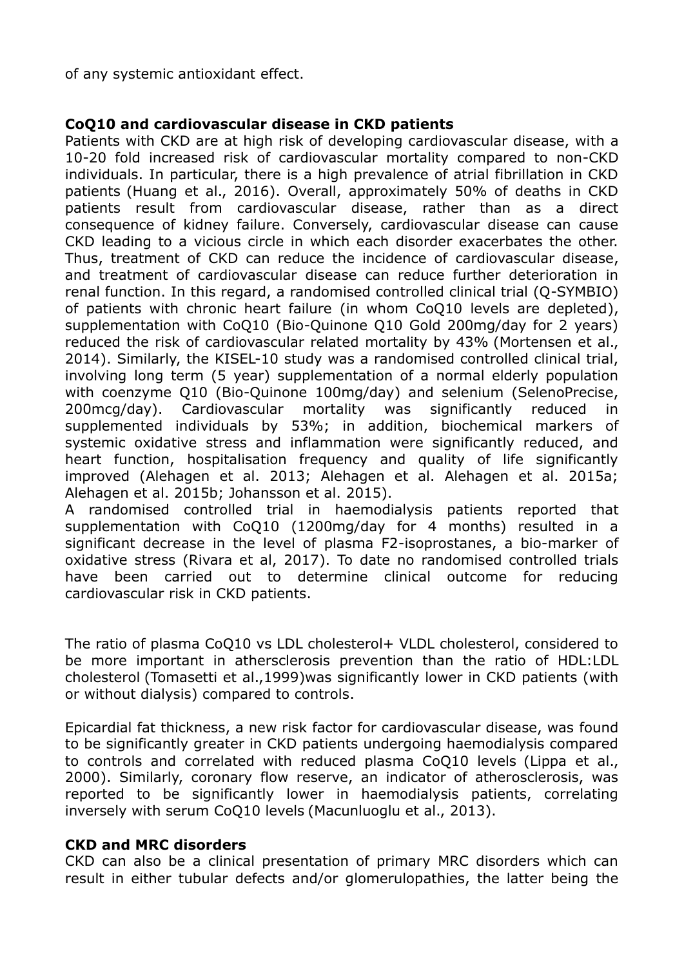of any systemic antioxidant effect.

# **CoQ10 and cardiovascular disease in CKD patients**

Patients with CKD are at high risk of developing cardiovascular disease, with a 10-20 fold increased risk of cardiovascular mortality compared to non-CKD individuals. In particular, there is a high prevalence of atrial fibrillation in CKD patients (Huang et al., 2016). Overall, approximately 50% of deaths in CKD patients result from cardiovascular disease, rather than as a direct consequence of kidney failure. Conversely, cardiovascular disease can cause CKD leading to a vicious circle in which each disorder exacerbates the other. Thus, treatment of CKD can reduce the incidence of cardiovascular disease, and treatment of cardiovascular disease can reduce further deterioration in renal function. In this regard, a randomised controlled clinical trial (Q-SYMBIO) of patients with chronic heart failure (in whom CoQ10 levels are depleted), supplementation with CoQ10 (Bio-Quinone Q10 Gold 200mg/day for 2 years) reduced the risk of cardiovascular related mortality by 43% (Mortensen et al., 2014). Similarly, the KISEL-10 study was a randomised controlled clinical trial, involving long term (5 year) supplementation of a normal elderly population with coenzyme Q10 (Bio-Quinone 100mg/day) and selenium (SelenoPrecise, 200mcg/day). Cardiovascular mortality was significantly reduced in supplemented individuals by 53%; in addition, biochemical markers of systemic oxidative stress and inflammation were significantly reduced, and heart function, hospitalisation frequency and quality of life significantly improved (Alehagen et al. 2013; Alehagen et al. Alehagen et al. 2015a; Alehagen et al. 2015b; Johansson et al. 2015).

A randomised controlled trial in haemodialysis patients reported that supplementation with CoQ10 (1200mg/day for 4 months) resulted in a significant decrease in the level of plasma F2-isoprostanes, a bio-marker of oxidative stress (Rivara et al, 2017). To date no randomised controlled trials have been carried out to determine clinical outcome for reducing cardiovascular risk in CKD patients.

The ratio of plasma CoQ10 vs LDL cholesterol+ VLDL cholesterol, considered to be more important in athersclerosis prevention than the ratio of HDL:LDL cholesterol (Tomasetti et al.,1999)was significantly lower in CKD patients (with or without dialysis) compared to controls.

Epicardial fat thickness, a new risk factor for cardiovascular disease, was found to be significantly greater in CKD patients undergoing haemodialysis compared to controls and correlated with reduced plasma CoQ10 levels (Lippa et al., 2000). Similarly, coronary flow reserve, an indicator of atherosclerosis, was reported to be significantly lower in haemodialysis patients, correlating inversely with serum CoQ10 levels (Macunluoglu et al., 2013).

#### **CKD and MRC disorders**

CKD can also be a clinical presentation of primary MRC disorders which can result in either tubular defects and/or glomerulopathies, the latter being the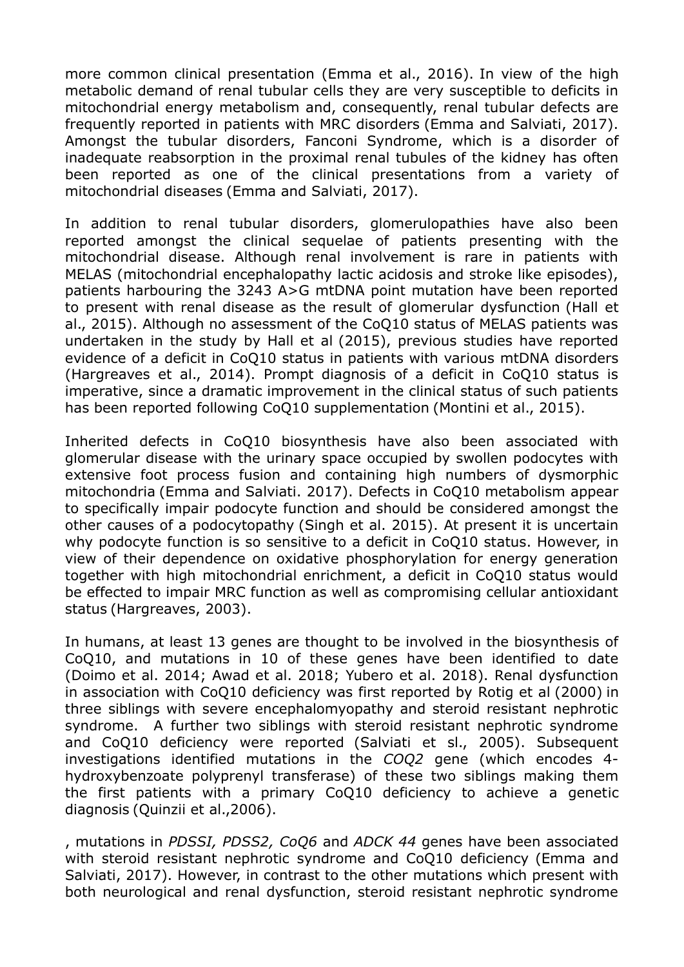more common clinical presentation (Emma et al., 2016). In view of the high metabolic demand of renal tubular cells they are very susceptible to deficits in mitochondrial energy metabolism and, consequently, renal tubular defects are frequently reported in patients with MRC disorders (Emma and Salviati, 2017). Amongst the tubular disorders, Fanconi Syndrome, which is a disorder of inadequate reabsorption in the proximal renal tubules of the kidney has often been reported as one of the clinical presentations from a variety of mitochondrial diseases (Emma and Salviati, 2017).

In addition to renal tubular disorders, glomerulopathies have also been reported amongst the clinical sequelae of patients presenting with the mitochondrial disease. Although renal involvement is rare in patients with MELAS (mitochondrial encephalopathy lactic acidosis and stroke like episodes), patients harbouring the 3243 A>G mtDNA point mutation have been reported to present with renal disease as the result of glomerular dysfunction (Hall et al., 2015). Although no assessment of the CoQ10 status of MELAS patients was undertaken in the study by Hall et al (2015), previous studies have reported evidence of a deficit in CoQ10 status in patients with various mtDNA disorders (Hargreaves et al., 2014). Prompt diagnosis of a deficit in CoQ10 status is imperative, since a dramatic improvement in the clinical status of such patients has been reported following CoQ10 supplementation (Montini et al., 2015).

Inherited defects in CoQ10 biosynthesis have also been associated with glomerular disease with the urinary space occupied by swollen podocytes with extensive foot process fusion and containing high numbers of dysmorphic mitochondria (Emma and Salviati. 2017). Defects in CoQ10 metabolism appear to specifically impair podocyte function and should be considered amongst the other causes of a podocytopathy (Singh et al. 2015). At present it is uncertain why podocyte function is so sensitive to a deficit in CoQ10 status. However, in view of their dependence on oxidative phosphorylation for energy generation together with high mitochondrial enrichment, a deficit in CoQ10 status would be effected to impair MRC function as well as compromising cellular antioxidant status (Hargreaves, 2003).

In humans, at least 13 genes are thought to be involved in the biosynthesis of CoQ10, and mutations in 10 of these genes have been identified to date (Doimo et al. 2014; Awad et al. 2018; Yubero et al. 2018). Renal dysfunction in association with CoQ10 deficiency was first reported by Rotig et al (2000) in three siblings with severe encephalomyopathy and steroid resistant nephrotic syndrome. A further two siblings with steroid resistant nephrotic syndrome and CoQ10 deficiency were reported (Salviati et sl., 2005). Subsequent investigations identified mutations in the *COQ2* gene (which encodes 4 hydroxybenzoate polyprenyl transferase) of these two siblings making them the first patients with a primary CoQ10 deficiency to achieve a genetic diagnosis (Quinzii et al.,2006).

, mutations in *PDSSI, PDSS2, CoQ6* and *ADCK 44* genes have been associated with steroid resistant nephrotic syndrome and CoQ10 deficiency (Emma and Salviati, 2017). However, in contrast to the other mutations which present with both neurological and renal dysfunction, steroid resistant nephrotic syndrome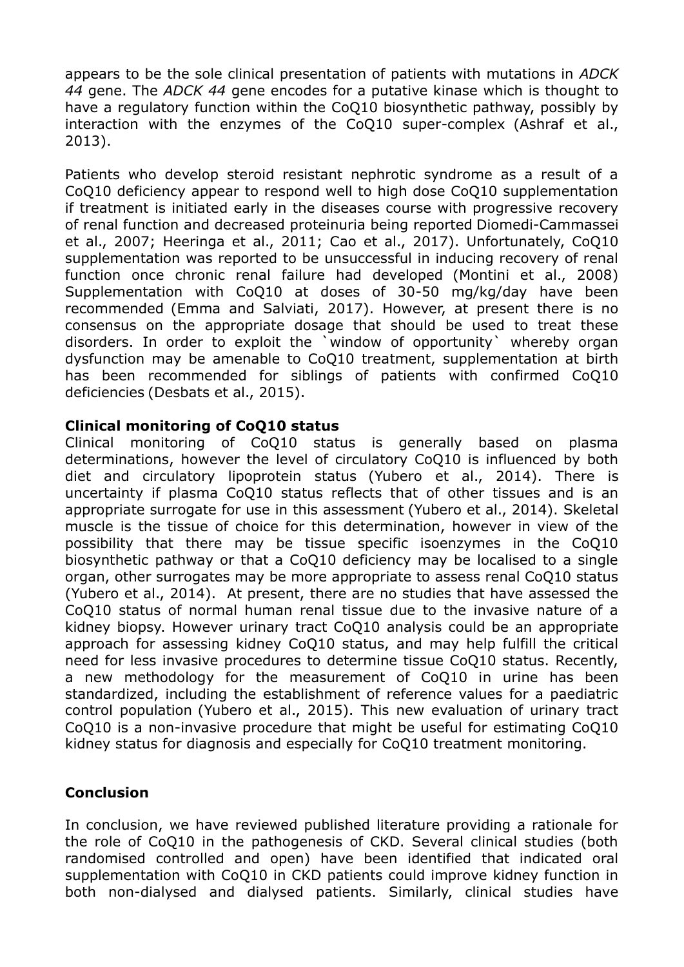appears to be the sole clinical presentation of patients with mutations in *ADCK 44* gene. The *ADCK 44* gene encodes for a putative kinase which is thought to have a regulatory function within the CoQ10 biosynthetic pathway, possibly by interaction with the enzymes of the CoQ10 super-complex (Ashraf et al., 2013).

Patients who develop steroid resistant nephrotic syndrome as a result of a CoQ10 deficiency appear to respond well to high dose CoQ10 supplementation if treatment is initiated early in the diseases course with progressive recovery of renal function and decreased proteinuria being reported Diomedi-Cammassei et al., 2007; Heeringa et al., 2011; Cao et al., 2017). Unfortunately, CoQ10 supplementation was reported to be unsuccessful in inducing recovery of renal function once chronic renal failure had developed (Montini et al., 2008) Supplementation with CoQ10 at doses of 30-50 mg/kg/day have been recommended (Emma and Salviati, 2017). However, at present there is no consensus on the appropriate dosage that should be used to treat these disorders. In order to exploit the `window of opportunity` whereby organ dysfunction may be amenable to CoQ10 treatment, supplementation at birth has been recommended for siblings of patients with confirmed CoQ10 deficiencies (Desbats et al., 2015).

#### **Clinical monitoring of CoQ10 status**

Clinical monitoring of CoQ10 status is generally based on plasma determinations, however the level of circulatory CoQ10 is influenced by both diet and circulatory lipoprotein status (Yubero et al., 2014). There is uncertainty if plasma CoQ10 status reflects that of other tissues and is an appropriate surrogate for use in this assessment (Yubero et al., 2014). Skeletal muscle is the tissue of choice for this determination, however in view of the possibility that there may be tissue specific isoenzymes in the CoQ10 biosynthetic pathway or that a CoQ10 deficiency may be localised to a single organ, other surrogates may be more appropriate to assess renal CoQ10 status (Yubero et al., 2014). At present, there are no studies that have assessed the CoQ10 status of normal human renal tissue due to the invasive nature of a kidney biopsy. However urinary tract CoQ10 analysis could be an appropriate approach for assessing kidney CoQ10 status, and may help fulfill the critical need for less invasive procedures to determine tissue CoQ10 status. Recently, a new methodology for the measurement of CoQ10 in urine has been standardized, including the establishment of reference values for a paediatric control population (Yubero et al., 2015). This new evaluation of urinary tract CoQ10 is a non-invasive procedure that might be useful for estimating CoQ10 kidney status for diagnosis and especially for CoQ10 treatment monitoring.

# **Conclusion**

In conclusion, we have reviewed published literature providing a rationale for the role of CoQ10 in the pathogenesis of CKD. Several clinical studies (both randomised controlled and open) have been identified that indicated oral supplementation with CoQ10 in CKD patients could improve kidney function in both non-dialysed and dialysed patients. Similarly, clinical studies have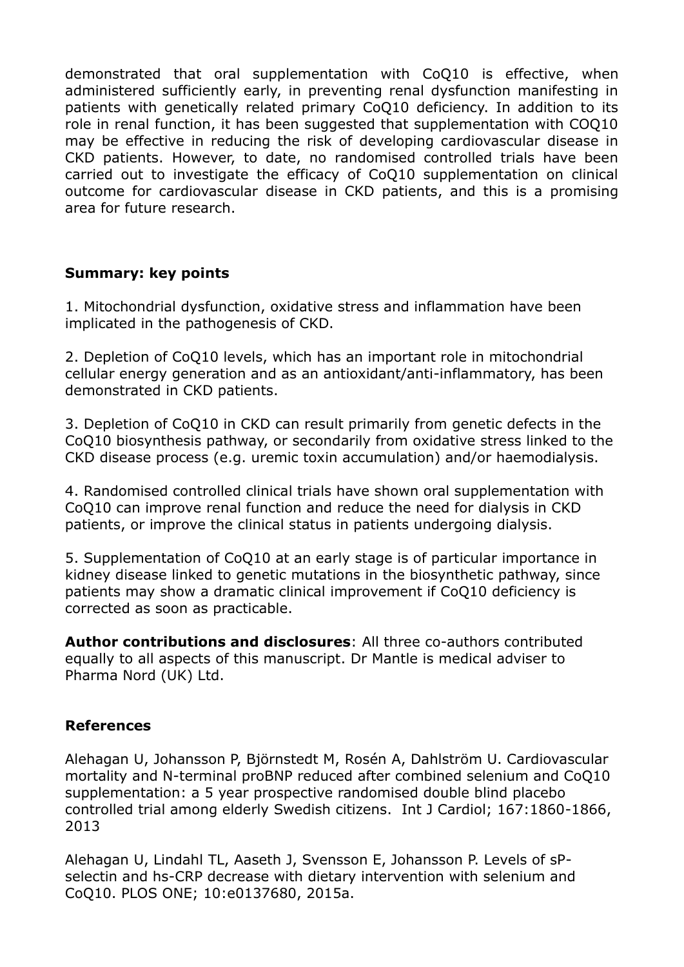demonstrated that oral supplementation with CoQ10 is effective, when administered sufficiently early, in preventing renal dysfunction manifesting in patients with genetically related primary CoQ10 deficiency. In addition to its role in renal function, it has been suggested that supplementation with COQ10 may be effective in reducing the risk of developing cardiovascular disease in CKD patients. However, to date, no randomised controlled trials have been carried out to investigate the efficacy of CoQ10 supplementation on clinical outcome for cardiovascular disease in CKD patients, and this is a promising area for future research.

# **Summary: key points**

1. Mitochondrial dysfunction, oxidative stress and inflammation have been implicated in the pathogenesis of CKD.

2. Depletion of CoQ10 levels, which has an important role in mitochondrial cellular energy generation and as an antioxidant/anti-inflammatory, has been demonstrated in CKD patients.

3. Depletion of CoQ10 in CKD can result primarily from genetic defects in the CoQ10 biosynthesis pathway, or secondarily from oxidative stress linked to the CKD disease process (e.g. uremic toxin accumulation) and/or haemodialysis.

4. Randomised controlled clinical trials have shown oral supplementation with CoQ10 can improve renal function and reduce the need for dialysis in CKD patients, or improve the clinical status in patients undergoing dialysis.

5. Supplementation of CoQ10 at an early stage is of particular importance in kidney disease linked to genetic mutations in the biosynthetic pathway, since patients may show a dramatic clinical improvement if CoQ10 deficiency is corrected as soon as practicable.

**Author contributions and disclosures**: All three co-authors contributed equally to all aspects of this manuscript. Dr Mantle is medical adviser to Pharma Nord (UK) Ltd.

# **References**

Alehagan U, Johansson P, Björnstedt M, Rosén A, Dahlström U. Cardiovascular mortality and N-terminal proBNP reduced after combined selenium and CoQ10 supplementation: a 5 year prospective randomised double blind placebo controlled trial among elderly Swedish citizens. Int J Cardiol; 167:1860-1866, 2013

Alehagan U, Lindahl TL, Aaseth J, Svensson E, Johansson P. Levels of sPselectin and hs-CRP decrease with dietary intervention with selenium and CoQ10. PLOS ONE; 10:e0137680, 2015a.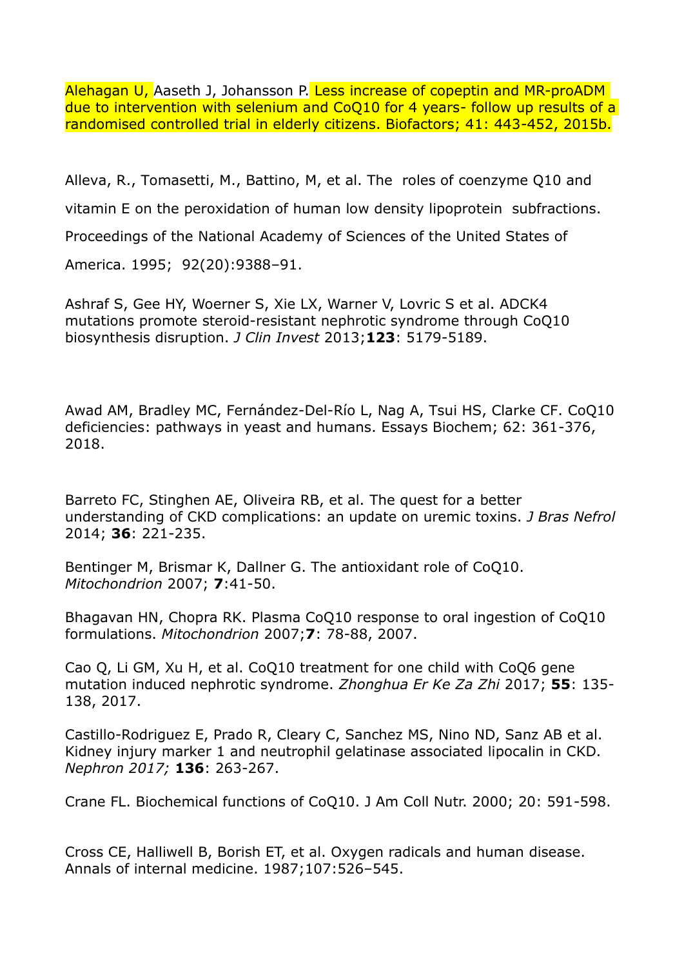Alehagan U, Aaseth J, Johansson P. Less increase of copeptin and MR-proADM due to intervention with selenium and CoQ10 for 4 years- follow up results of a randomised controlled trial in elderly citizens. Biofactors; 41: 443-452, 2015b.

Alleva, R., Tomasetti, M., Battino, M, et al. The roles of coenzyme Q10 and vitamin E on the peroxidation of human low density lipoprotein subfractions. Proceedings of the National Academy of Sciences of the United States of America. 1995; 92(20):9388–91.

Ashraf S, Gee HY, Woerner S, Xie LX, Warner V, Lovric S et al. ADCK4 mutations promote steroid-resistant nephrotic syndrome through CoQ10 biosynthesis disruption. *J Clin Invest* 2013;**123**: 5179-5189.

Awad AM, Bradley MC, Fernández-Del-Río L, Nag A, Tsui HS, Clarke CF. CoQ10 deficiencies: pathways in yeast and humans. Essays Biochem; 62: 361-376, 2018.

Barreto FC, Stinghen AE, Oliveira RB, et al. The quest for a better understanding of CKD complications: an update on uremic toxins. *J Bras Nefrol* 2014; **36**: 221-235.

Bentinger M, Brismar K, Dallner G. The antioxidant role of CoQ10. *Mitochondrion* 2007; **7**:41-50.

Bhagavan HN, Chopra RK. Plasma CoQ10 response to oral ingestion of CoQ10 formulations. *Mitochondrion* 2007;**7**: 78-88, 2007.

Cao Q, Li GM, Xu H, et al. CoQ10 treatment for one child with CoQ6 gene mutation induced nephrotic syndrome. *Zhonghua Er Ke Za Zhi* 2017; **55**: 135- 138, 2017.

Castillo-Rodriguez E, Prado R, Cleary C, Sanchez MS, Nino ND, Sanz AB et al. Kidney injury marker 1 and neutrophil gelatinase associated lipocalin in CKD. *Nephron 2017;* **136**: 263-267.

Crane FL. Biochemical functions of CoQ10. J Am Coll Nutr. 2000; 20: 591-598.

Cross CE, Halliwell B, Borish ET, et al. Oxygen radicals and human disease. Annals of internal medicine. 1987;107:526–545.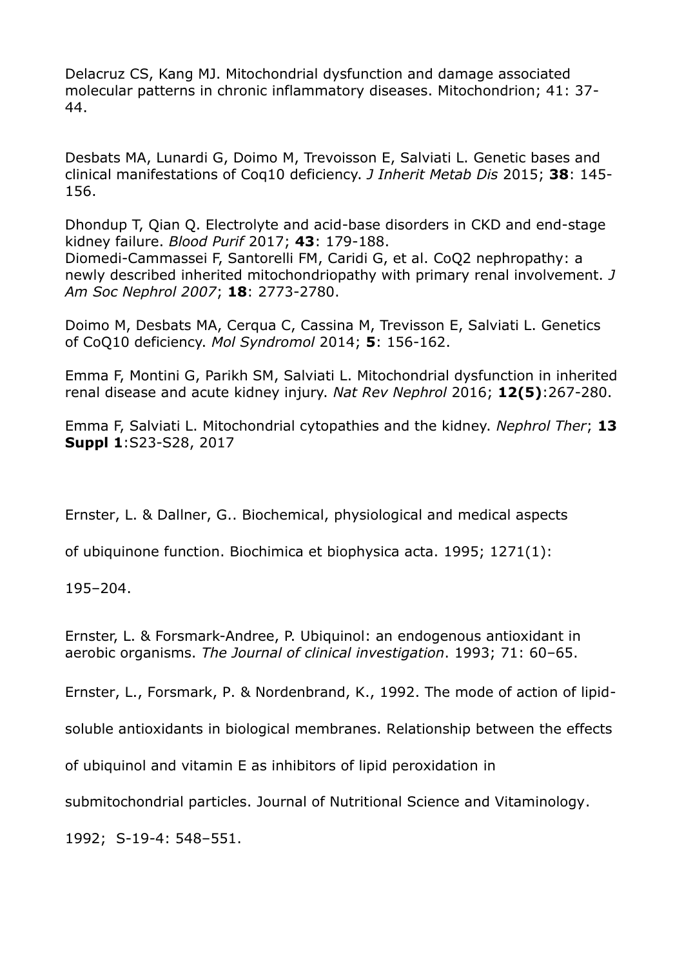Delacruz CS, Kang MJ. Mitochondrial dysfunction and damage associated molecular patterns in chronic inflammatory diseases. Mitochondrion; 41: 37- 44.

Desbats MA, Lunardi G, Doimo M, Trevoisson E, Salviati L. Genetic bases and clinical manifestations of Coq10 deficiency. *J Inherit Metab Dis* 2015; **38**: 145- 156.

Dhondup T, Qian Q. Electrolyte and acid-base disorders in CKD and end-stage kidney failure. *Blood Purif* 2017; **43**: 179-188. Diomedi-Cammassei F, Santorelli FM, Caridi G, et al. CoQ2 nephropathy: a newly described inherited mitochondriopathy with primary renal involvement. *J Am Soc Nephrol 2007*; **18**: 2773-2780.

Doimo M, Desbats MA, Cerqua C, Cassina M, Trevisson E, Salviati L. Genetics of CoQ10 deficiency. *Mol Syndromol* 2014; **5**: 156-162.

Emma F, Montini G, Parikh SM, Salviati L. Mitochondrial dysfunction in inherited renal disease and acute kidney injury. *Nat Rev Nephrol* 2016; **12(5)**:267-280.

Emma F, Salviati L. Mitochondrial cytopathies and the kidney. *Nephrol Ther*; **13 Suppl 1**:S23-S28, 2017

Ernster, L. & Dallner, G.. Biochemical, physiological and medical aspects

of ubiquinone function. Biochimica et biophysica acta. 1995; 1271(1):

195–204.

Ernster, L. & Forsmark-Andree, P. Ubiquinol: an endogenous antioxidant in aerobic organisms. *The Journal of clinical investigation*. 1993; 71: 60–65.

Ernster, L., Forsmark, P. & Nordenbrand, K., 1992. The mode of action of lipid-

soluble antioxidants in biological membranes. Relationship between the effects

of ubiquinol and vitamin E as inhibitors of lipid peroxidation in

submitochondrial particles. Journal of Nutritional Science and Vitaminology.

1992; S-19-4: 548–551.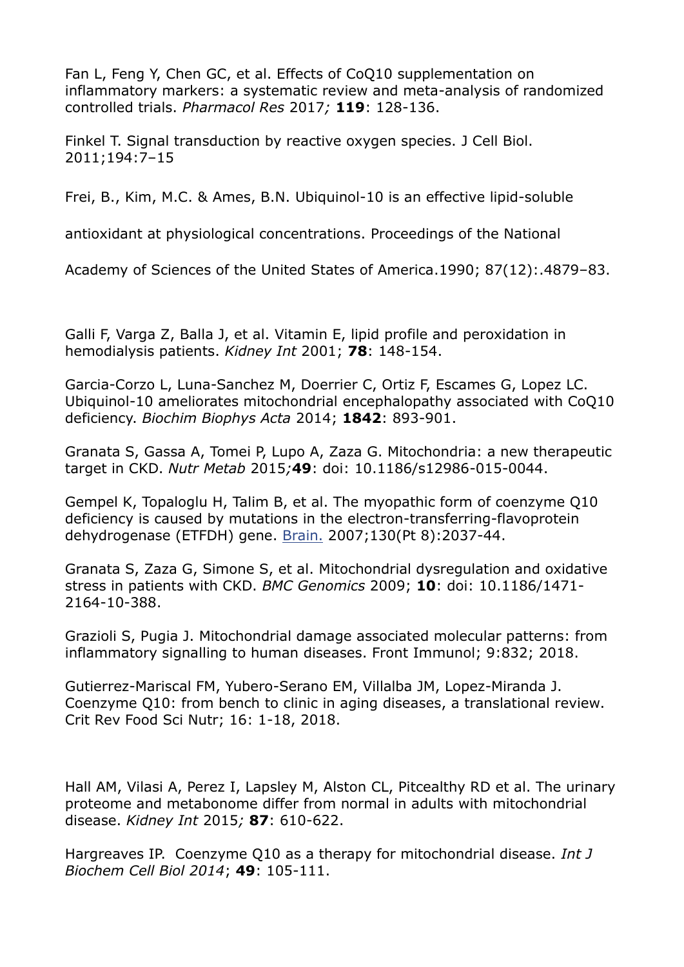Fan L, Feng Y, Chen GC, et al. Effects of CoQ10 supplementation on inflammatory markers: a systematic review and meta-analysis of randomized controlled trials. *Pharmacol Res* 2017*;* **119**: 128-136.

Finkel T. Signal transduction by reactive oxygen species. J Cell Biol. 2011;194:7–15

Frei, B., Kim, M.C. & Ames, B.N. Ubiquinol-10 is an effective lipid-soluble

antioxidant at physiological concentrations. Proceedings of the National

Academy of Sciences of the United States of America.1990; 87(12):.4879–83.

Galli F, Varga Z, Balla J, et al. Vitamin E, lipid profile and peroxidation in hemodialysis patients. *Kidney Int* 2001; **78**: 148-154.

Garcia-Corzo L, Luna-Sanchez M, Doerrier C, Ortiz F, Escames G, Lopez LC. Ubiquinol-10 ameliorates mitochondrial encephalopathy associated with CoQ10 deficiency. *Biochim Biophys Acta* 2014; **1842**: 893-901.

Granata S, Gassa A, Tomei P, Lupo A, Zaza G. Mitochondria: a new therapeutic target in CKD. *Nutr Metab* 2015*;***49**: doi: 10.1186/s12986-015-0044.

Gempel K, Topaloglu H, Talim B, et al. The myopathic form of coenzyme Q10 deficiency is caused by mutations in the electron-transferring-flavoprotein dehydrogenase (ETFDH) gene. [Brain.](https://www.ncbi.nlm.nih.gov/pubmed/17412732) 2007;130(Pt 8):2037-44.

Granata S, Zaza G, Simone S, et al. Mitochondrial dysregulation and oxidative stress in patients with CKD. *BMC Genomics* 2009; **10**: doi: 10.1186/1471- 2164-10-388.

Grazioli S, Pugia J. Mitochondrial damage associated molecular patterns: from inflammatory signalling to human diseases. Front Immunol; 9:832; 2018.

Gutierrez-Mariscal FM, Yubero-Serano EM, Villalba JM, Lopez-Miranda J. Coenzyme Q10: from bench to clinic in aging diseases, a translational review. Crit Rev Food Sci Nutr; 16: 1-18, 2018.

Hall AM, Vilasi A, Perez I, Lapsley M, Alston CL, Pitcealthy RD et al. The urinary proteome and metabonome differ from normal in adults with mitochondrial disease. *Kidney Int* 2015*;* **87**: 610-622.

Hargreaves IP. Coenzyme Q10 as a therapy for mitochondrial disease. *Int J Biochem Cell Biol 2014*; **49**: 105-111.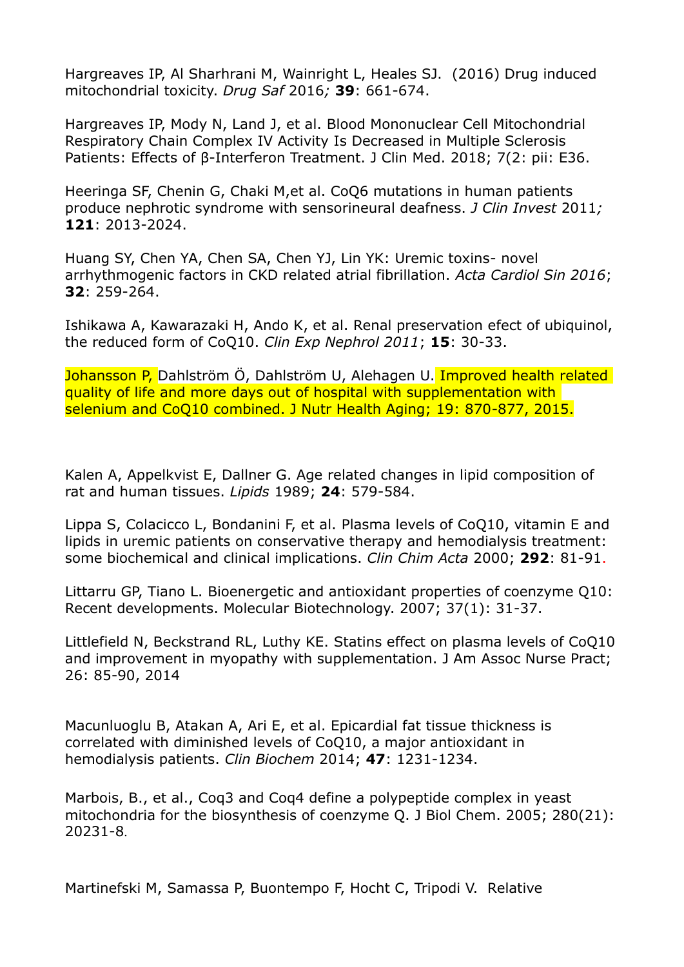Hargreaves IP, Al Sharhrani M, Wainright L, Heales SJ. (2016) Drug induced mitochondrial toxicity. *Drug Saf* 2016*;* **39**: 661-674.

Hargreaves IP, Mody N, Land J, et al. Blood Mononuclear Cell Mitochondrial Respiratory Chain Complex IV Activity Is Decreased in Multiple Sclerosis Patients: Effects of β-Interferon Treatment. J Clin Med. 2018; 7(2: pii: E36.

Heeringa SF, Chenin G, Chaki M,et al. CoQ6 mutations in human patients produce nephrotic syndrome with sensorineural deafness. *J Clin Invest* 2011*;* **121**: 2013-2024.

Huang SY, Chen YA, Chen SA, Chen YJ, Lin YK: Uremic toxins- novel arrhythmogenic factors in CKD related atrial fibrillation. *Acta Cardiol Sin 2016*; **32**: 259-264.

Ishikawa A, Kawarazaki H, Ando K, et al. Renal preservation efect of ubiquinol, the reduced form of CoQ10. *Clin Exp Nephrol 2011*; **15**: 30-33.

Johansson P, Dahlström Ö, Dahlström U, Alehagen U. Improved health related quality of life and more days out of hospital with supplementation with selenium and CoQ10 combined. J Nutr Health Aging; 19: 870-877, 2015.

Kalen A, Appelkvist E, Dallner G. Age related changes in lipid composition of rat and human tissues. *Lipids* 1989; **24**: 579-584.

Lippa S, Colacicco L, Bondanini F, et al. Plasma levels of CoQ10, vitamin E and lipids in uremic patients on conservative therapy and hemodialysis treatment: some biochemical and clinical implications. *Clin Chim Acta* 2000; **292**: 81-91.

Littarru GP, Tiano L. Bioenergetic and antioxidant properties of coenzyme Q10: Recent developments. Molecular Biotechnology. 2007; 37(1): 31-37.

Littlefield N, Beckstrand RL, Luthy KE. Statins effect on plasma levels of CoQ10 and improvement in myopathy with supplementation. J Am Assoc Nurse Pract; 26: 85-90, 2014

Macunluoglu B, Atakan A, Ari E, et al. Epicardial fat tissue thickness is correlated with diminished levels of CoQ10, a major antioxidant in hemodialysis patients. *Clin Biochem* 2014; **47**: 1231-1234.

Marbois, B., et al., Coq3 and Coq4 define a polypeptide complex in yeast mitochondria for the biosynthesis of coenzyme Q. J Biol Chem. 2005; 280(21): 20231-8.

Martinefski M, Samassa P, Buontempo F, Hocht C, Tripodi V. Relative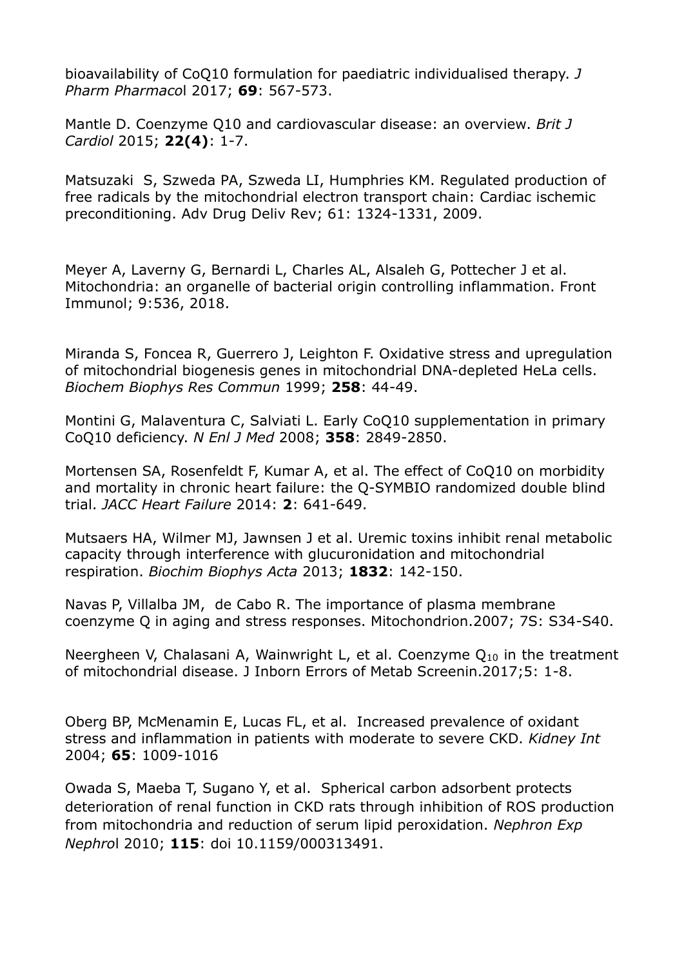bioavailability of CoQ10 formulation for paediatric individualised therapy. *J Pharm Pharmaco*l 2017; **69**: 567-573.

Mantle D. Coenzyme Q10 and cardiovascular disease: an overview. *Brit J Cardiol* 2015; **22(4)**: 1-7.

Matsuzaki S, Szweda PA, Szweda LI, Humphries KM. [Regulated production of](https://www.ncbi.nlm.nih.gov/pubmed/19716389)  free radicals by the [mitochondrial electron transport chain: Cardiac ischemic](https://www.ncbi.nlm.nih.gov/pubmed/19716389)  [preconditioning.](https://www.ncbi.nlm.nih.gov/pubmed/19716389) Adv Drug Deliv Rev; 61: 1324-1331, 2009.

Meyer A, Laverny G, Bernardi L, Charles AL, Alsaleh G, Pottecher J et al. Mitochondria: an organelle of bacterial origin controlling inflammation. Front Immunol; 9:536, 2018.

Miranda S, Foncea R, Guerrero J, Leighton F. Oxidative stress and upregulation of mitochondrial biogenesis genes in mitochondrial DNA-depleted HeLa cells. *Biochem Biophys Res Commun* 1999; **258**: 44-49.

Montini G, Malaventura C, Salviati L. Early CoQ10 supplementation in primary CoQ10 deficiency. *N Enl J Med* 2008; **358**: 2849-2850.

Mortensen SA, Rosenfeldt F, Kumar A, et al. The effect of CoQ10 on morbidity and mortality in chronic heart failure: the Q-SYMBIO randomized double blind trial. *JACC Heart Failure* 2014: **2**: 641-649.

Mutsaers HA, Wilmer MJ, Jawnsen J et al. Uremic toxins inhibit renal metabolic capacity through interference with glucuronidation and mitochondrial respiration. *Biochim Biophys Acta* 2013; **1832**: 142-150.

Navas P, Villalba JM, de Cabo R. The importance of plasma membrane coenzyme Q in aging and stress responses. Mitochondrion.2007; 7S: S34-S40.

Neergheen V, Chalasani A, Wainwright L, et al. Coenzyme  $Q_{10}$  in the treatment of mitochondrial disease. J Inborn Errors of Metab Screenin.2017;5: 1-8.

Oberg BP, McMenamin E, Lucas FL, et al. Increased prevalence of oxidant stress and inflammation in patients with moderate to severe CKD. *Kidney Int*  2004; **65**: 1009-1016

Owada S, Maeba T, Sugano Y, et al. Spherical carbon adsorbent protects deterioration of renal function in CKD rats through inhibition of ROS production from mitochondria and reduction of serum lipid peroxidation. *Nephron Exp Nephro*l 2010; **115**: doi 10.1159/000313491.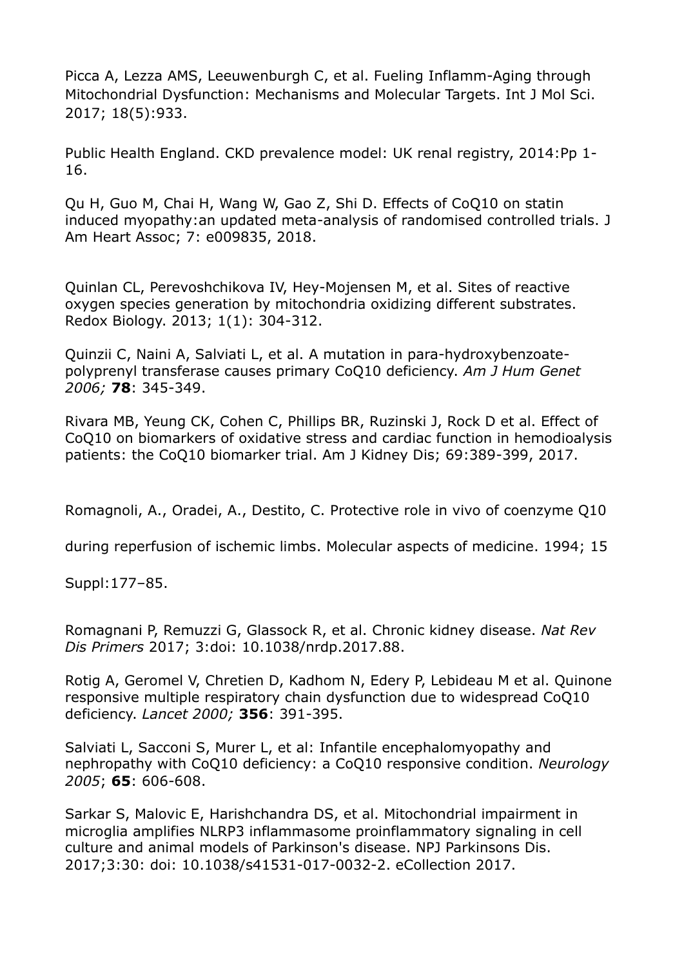Picca A, Lezza AMS, Leeuwenburgh C, et al. Fueling Inflamm-Aging through Mitochondrial Dysfunction: Mechanisms and Molecular Targets. Int J Mol Sci. 2017; 18(5):933.

Public Health England. CKD prevalence model: UK renal registry, 2014:Pp 1- 16.

Qu H, Guo M, Chai H, Wang W, Gao Z, Shi D. Effects of CoQ10 on statin induced myopathy:an updated meta-analysis of randomised controlled trials. J Am Heart Assoc; 7: e009835, 2018.

Quinlan CL, Perevoshchikova IV, Hey-Mojensen M, et al. Sites of reactive oxygen species generation by mitochondria oxidizing different substrates. Redox Biology. 2013; 1(1): 304-312.

Quinzii C, Naini A, Salviati L, et al. A mutation in para-hydroxybenzoatepolyprenyl transferase causes primary CoQ10 deficiency. *Am J Hum Genet 2006;* **78**: 345-349.

Rivara MB, Yeung CK, Cohen C, Phillips BR, Ruzinski J, Rock D et al. Effect of CoQ10 on biomarkers of oxidative stress and cardiac function in hemodioalysis patients: the CoQ10 biomarker trial. Am J Kidney Dis; 69:389-399, 2017.

Romagnoli, A., Oradei, A., Destito, C. Protective role in vivo of coenzyme Q10

during reperfusion of ischemic limbs. Molecular aspects of medicine. 1994; 15

Suppl:177–85.

Romagnani P, Remuzzi G, Glassock R, et al. Chronic kidney disease. *Nat Rev Dis Primers* 2017; 3:doi: 10.1038/nrdp.2017.88.

Rotig A, Geromel V, Chretien D, Kadhom N, Edery P, Lebideau M et al. Quinone responsive multiple respiratory chain dysfunction due to widespread CoQ10 deficiency. *Lancet 2000;* **356**: 391-395.

Salviati L, Sacconi S, Murer L, et al: Infantile encephalomyopathy and nephropathy with CoQ10 deficiency: a CoQ10 responsive condition. *Neurology 2005*; **65**: 606-608.

Sarkar S, Malovic E, Harishchandra DS, et al. Mitochondrial impairment in microglia amplifies NLRP3 inflammasome proinflammatory signaling in cell culture and animal models of Parkinson's disease. NPJ Parkinsons Dis. 2017;3:30: doi: 10.1038/s41531-017-0032-2. eCollection 2017.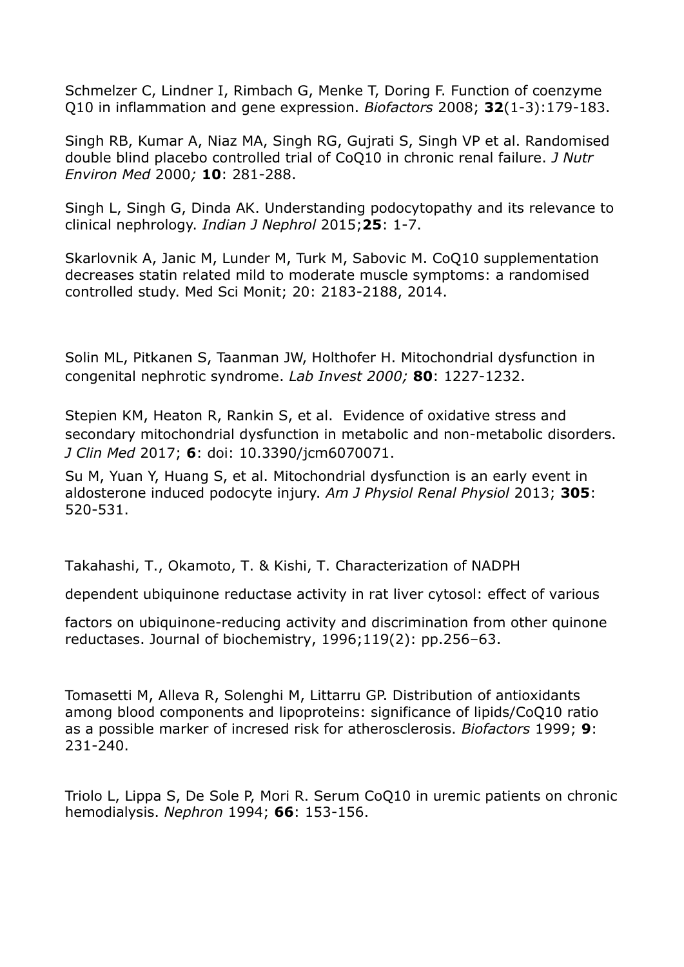Schmelzer C, Lindner I, Rimbach G, Menke T, Doring F. Function of coenzyme Q10 in inflammation and gene expression. *Biofactors* 2008; **32**(1-3):179-183.

Singh RB, Kumar A, Niaz MA, Singh RG, Gujrati S, Singh VP et al. Randomised double blind placebo controlled trial of CoQ10 in chronic renal failure. *J Nutr Environ Med* 2000*;* **10**: 281-288.

Singh L, Singh G, Dinda AK. Understanding podocytopathy and its relevance to clinical nephrology. *Indian J Nephrol* 2015;**25**: 1-7.

Skarlovnik A, Janic M, Lunder M, Turk M, Sabovic M. CoQ10 supplementation decreases statin related mild to moderate muscle symptoms: a randomised controlled study. Med Sci Monit; 20: 2183-2188, 2014.

Solin ML, Pitkanen S, Taanman JW, Holthofer H. Mitochondrial dysfunction in congenital nephrotic syndrome. *Lab Invest 2000;* **80**: 1227-1232.

Stepien KM, Heaton R, Rankin S, et al. Evidence of oxidative stress and secondary mitochondrial dysfunction in metabolic and non-metabolic disorders. *J Clin Med* 2017; **6**: doi: 10.3390/jcm6070071.

Su M, Yuan Y, Huang S, et al. Mitochondrial dysfunction is an early event in aldosterone induced podocyte injury. *Am J Physiol Renal Physiol* 2013; **305**: 520-531.

Takahashi, T., Okamoto, T. & Kishi, T. Characterization of NADPH

dependent ubiquinone reductase activity in rat liver cytosol: effect of various

factors on ubiquinone-reducing activity and discrimination from other quinone reductases. Journal of biochemistry, 1996;119(2): pp.256–63.

Tomasetti M, Alleva R, Solenghi M, Littarru GP. Distribution of antioxidants among blood components and lipoproteins: significance of lipids/CoQ10 ratio as a possible marker of incresed risk for atherosclerosis. *Biofactors* 1999; **9**: 231-240.

Triolo L, Lippa S, De Sole P, Mori R. Serum CoQ10 in uremic patients on chronic hemodialysis. *Nephron* 1994; **66**: 153-156.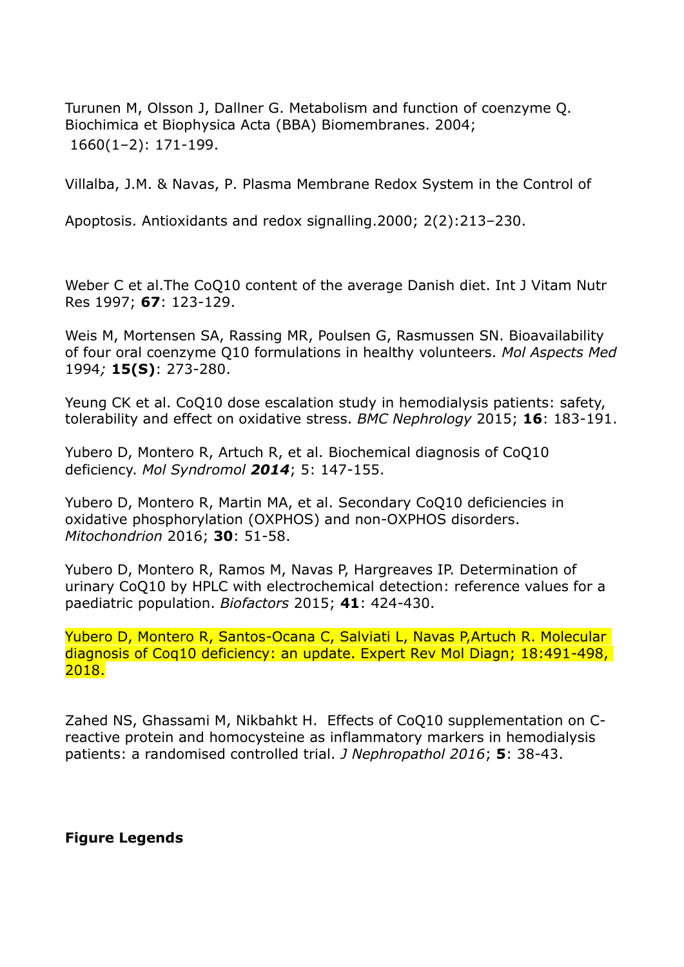Turunen M, Olsson J, Dallner G. Metabolism and function of coenzyme Q. [Biochimica et Biophysica Acta \(BBA\) Biomembranes.](https://www.sciencedirect.com/science/journal/00052736) 2004; [1660\(1](https://www.sciencedirect.com/science/journal/00052736/1660/1)–2): 171-199.

Villalba, J.M. & Navas, P. Plasma Membrane Redox System in the Control of

Apoptosis. Antioxidants and redox signalling.2000; 2(2):213–230.

Weber C et al.The CoQ10 content of the average Danish diet. Int J Vitam Nutr Res 1997; **67**: 123-129.

Weis M, Mortensen SA, Rassing MR, Poulsen G, Rasmussen SN. Bioavailability of four oral coenzyme Q10 formulations in healthy volunteers. *Mol Aspects Med* 1994*;* **15(S)**: 273-280.

Yeung CK et al. CoQ10 dose escalation study in hemodialysis patients: safety, tolerability and effect on oxidative stress. *BMC Nephrology* 2015; **16**: 183-191.

Yubero D, Montero R, Artuch R, et al. Biochemical diagnosis of CoQ10 deficiency. *Mol Syndromol 2014*; 5: 147-155.

Yubero D, Montero R, Martin MA, et al. Secondary CoQ10 deficiencies in oxidative phosphorylation (OXPHOS) and non-OXPHOS disorders. *Mitochondrion* 2016; **30**: 51-58.

Yubero D, Montero R, Ramos M, Navas P, Hargreaves IP. Determination of urinary CoQ10 by HPLC with electrochemical detection: reference values for a paediatric population. *Biofactors* 2015; **41**: 424-430.

Yubero D, Montero R, Santos-Ocana C, Salviati L, Navas P,Artuch R. Molecular diagnosis of Coq10 deficiency: an update. Expert Rev Mol Diagn; 18:491-498, 2018.

Zahed NS, Ghassami M, Nikbahkt H. Effects of CoQ10 supplementation on Creactive protein and homocysteine as inflammatory markers in hemodialysis patients: a randomised controlled trial. *J Nephropathol 2016*; **5**: 38-43.

**Figure Legends**